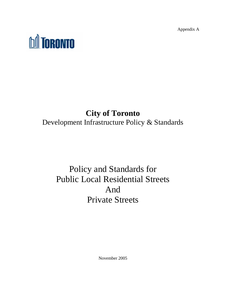Appendix A



# **City of Toronto**  Development Infrastructure Policy & Standards

# Policy and Standards for Public Local Residential Streets And Private Streets

November 2005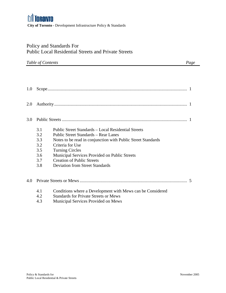## Policy and Standards For Public Local Residential Streets and Private Streets

| Table of Contents | Page |
|-------------------|------|
|-------------------|------|

| 1.0 |     |                                                              |  |
|-----|-----|--------------------------------------------------------------|--|
| 2.0 |     |                                                              |  |
| 3.0 |     |                                                              |  |
|     | 3.1 | Public Street Standards – Local Residential Streets          |  |
|     | 3.2 | Public Street Standards – Rear Lanes                         |  |
|     | 3.3 | Notes to be read in conjunction with Public Street Standards |  |
|     | 3.2 | Criteria for Use                                             |  |
|     | 3.5 | <b>Turning Circles</b>                                       |  |
|     | 3.6 | Municipal Services Provided on Public Streets                |  |
|     | 3.7 | <b>Creation of Public Streets</b>                            |  |
|     | 3.8 | <b>Deviation from Street Standards</b>                       |  |
| 4.0 |     |                                                              |  |
|     | 4.1 | Conditions where a Development with Mews can be Considered   |  |
|     | 4.2 | <b>Standards for Private Streets or Mews</b>                 |  |
|     | 4.3 | Municipal Services Provided on Mews                          |  |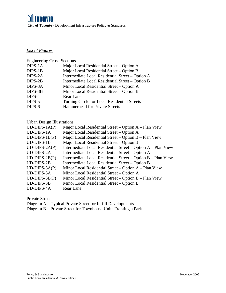*List of Figures*

### Engineering Cross-Sections

| DIPS-1A | Major Local Residential Street – Option A        |
|---------|--------------------------------------------------|
| DIPS-1B | Major Local Residential Street – Option B        |
| DIPS-2A | Intermediate Local Residential Street - Option A |
| DIPS-2B | Intermediate Local Residential Street – Option B |
| DIPS-3A | Minor Local Residential Street – Option A        |
| DIPS-3B | Minor Local Residential Street – Option B        |
| DIPS-4  | Rear Lane                                        |
| DIPS-5  | Turning Circle for Local Residential Streets     |
| DIPS-6  | <b>Hammerhead for Private Streets</b>            |
|         |                                                  |

### Urban Design Illustrations

| $UD-DIPS-1A(P)$   | Major Local Residential Street - Option A - Plan View        |
|-------------------|--------------------------------------------------------------|
| <b>UD-DIPS-1A</b> | Major Local Residential Street – Option A                    |
| $UD-DIPS-1B(P)$   | Major Local Residential Street – Option B – Plan View        |
| <b>UD-DIPS-1B</b> | Major Local Residential Street – Option B                    |
| $UD-DIPS-2A(P)$   | Intermediate Local Residential Street – Option A – Plan View |
| <b>UD-DIPS-2A</b> | Intermediate Local Residential Street - Option A             |
| $UD-DIPS-2B(P)$   | Intermediate Local Residential Street – Option B – Plan View |
| <b>UD-DIPS-2B</b> | Intermediate Local Residential Street – Option B             |
| $UD-DIPS-3A(P)$   | Minor Local Residential Street – Option A – Plan View        |
| UD-DIPS-3A        | Minor Local Residential Street – Option A                    |
| $UD-DIPS-3B(P)$   | Minor Local Residential Street – Option B – Plan View        |
| <b>UD-DIPS-3B</b> | Minor Local Residential Street – Option B                    |
| UD-DIPS-4A        | <b>Rear Lane</b>                                             |

Private Streets

Diagram A – Typical Private Street for In-fill Developments

Diagram B – Private Street for Townhouse Units Fronting a Park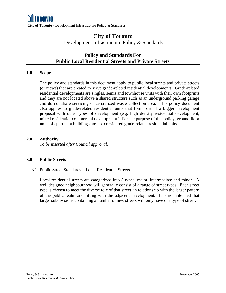## **Policy and Standards For Public Local Residential Streets and Private Streets**

#### **1.0 Scope**

The policy and standards in this document apply to public local streets and private streets (or mews) that are created to serve grade-related residential developments. Grade-related residential developments are singles, semis and townhouse units with their own footprints and they are not located above a shared structure such as an underground parking garage and do not share servicing or centralized waste collection area. This policy document also applies to grade-related residential units that form part of a bigger development proposal with other types of development (e.g. high density residential development, mixed residential-commercial development.) For the purpose of this policy, ground floor units of apartment buildings are not considered grade-related residential units.

#### **2.0 Authority**

*To be inserted after Council approval.* 

#### **3.0 Public Streets**

#### 3.1 Public Street Standards – Local Residential Streets

Local residential streets are categorized into 3 types: major, intermediate and minor. A well designed neighbourhood will generally consist of a range of street types. Each street type is chosen to meet the diverse role of that street, in relationship with the larger pattern of the public realm and fitting with the adjacent development. It is not intended that larger subdivisions containing a number of new streets will only have one type of street.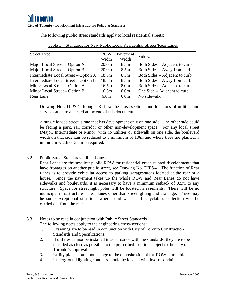The following public street standards apply to local residential streets:

| <b>Street Type</b>                   | <b>ROW</b>        | Pavement         | Sidewalk                      |
|--------------------------------------|-------------------|------------------|-------------------------------|
|                                      | Width             | Width            |                               |
| Major Local Street – Option A        | 20.0 <sub>m</sub> | 8.5 <sub>m</sub> | Both Sides – Adjacent to curb |
| Major Local Street – Option B        | 20.0 <sub>m</sub> | 8.5 <sub>m</sub> | Both Sides – Away from curb   |
| Intermediate Local Street – Option A | 18.5m             | 8.5 <sub>m</sub> | Both Sides – Adjacent to curb |
| Intermediate Local Street – Option B | 18.5m             | 8.5 <sub>m</sub> | Both Sides – Away from curb   |
| Minor Local Street – Option A        | 16.5m             | 8.0 <sub>m</sub> | Both Sides – Adjacent to curb |
| Minor Local Street – Option B        | 16.5m             | 8.0 <sub>m</sub> | One Side – Adjacent to curb   |
| Rear Lane                            | 6.0 <sub>m</sub>  | 6.0 <sub>m</sub> | No sidewalk                   |

|  |  |  | Table 1 – Standards for New Public Local Residential Streets/Rear Lanes |
|--|--|--|-------------------------------------------------------------------------|
|--|--|--|-------------------------------------------------------------------------|

Drawing Nos. DIPS-1 through -3 show the cross-sections and locations of utilities and services and are attached at the end of this document.

A single loaded street is one that has development only on one side. The other side could be facing a park, rail corridor or other non-development space. For any local street (Major, Intermediate or Minor) with no utilities or sidewalk on one side, the boulevard width on that side can be reduced to a minimum of 1.0m and where trees are planted, a minimum width of 3.0m is required.

#### 3.2 Public Street Standards – Rear Lanes

Rear Lanes are the smallest public ROW for residential grade-related developments that have frontages on another public street, see Drawing No. DIPS-4. The function of Rear Lanes is to provide vehicular access to parking garages/areas located at the rear of a house. Since the pavement takes up the whole ROW and Rear Lanes do not have sidewalks and boulevards, it is necessary to have a minimum setback of 0.5m to any structure. Space for street light poles will be located in easements. There will be no municipal infrastructure in rear lanes other than streetlighting and drainage. There may be some exceptional situations where solid waste and recyclables collection will be carried out from the rear lanes.

#### 3.3 Notes to be read in conjunction with Public Street Standards

The following notes apply to the engineering cross-sections:

- 1. Drawings are to be read in conjunction with City of Toronto Construction Standards and Specifications.
- 2. If utilities cannot be installed in accordance with the standards, they are to be installed as close as possible to the prescribed location subject to the City of Toronto's approval.
- 3. Utility plant should not change to the opposite side of the ROW in mid block.
- 4. Underground lighting conduits should be located with hydro conduit.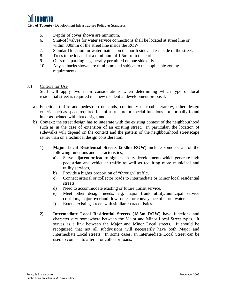

- 5. Depths of cover shown are minimum.
- 6. Shut-off valves for water service connections shall be located at street line or within 300mm of the street line inside the ROW.
- 7. Standard location for water main is on the north side and east side of the street.
- 8. Trees to be located at a minimum of 1.5m from the curb.
- 9. On-street parking is generally permitted on one side only.
- 10. Any setbacks shown are minimum and subject to the applicable zoning requirements.

#### 3.4 Criteria for Use

Staff will apply two main considerations when determining which type of local residential street is required in a new residential development proposal:

- a) Function: traffic and pedestrian demands, continuity of road hierarchy, other design criteria such as space required for infrastructure or special functions not normally found in or associated with that design, and
- b) Context: the street design has to integrate with the existing context of the neighbourhood such as in the case of extension of an existing street. In particular, the location of sidewalks will depend on the context and the pattern of the neighbourhood streetscape rather than on a technical design consideration.
	- **1) Major Local Residential Streets (20.0m ROW)** include some or all of the following functions and characteristics;
		- a) Serve adjacent or lead to higher density developments which generate high pedestrian and vehicular traffic as well as requiring more municipal and utility services,
		- b) Provide a higher proportion of "through" traffic,
		- c) Connect arterial or collector roads to Intermediate or Minor local residential streets,
		- d) Need to accommodate existing or future transit service,
		- e) Meet other design needs: e.g. major trunk utility/municipal service corridors, major overland flow routes for conveyance of storm water,
		- f) Extend existing streets with similar characteristics.
	- **2) Intermediate Local Residential Streets (18.5m ROW)** have functions and characteristics somewhere between the Major and Minor Local Street types. It serves as a link between the Major and Minor Local streets. It should be recognized that not all subdivisions will necessarily have both Major and Intermediate Local streets. In some cases, an Intermediate Local Street can be used to connect to arterial or collector roads.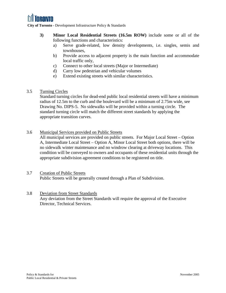

- **3) Minor Local Residential Streets (16.5m ROW)** include some or all of the following functions and characteristics:
	- a) Serve grade-related, low density developments, i.e. singles, semis and townhouses,
	- b) Provide access to adjacent property is the main function and accommodate local traffic only,
	- c) Connect to other local streets (Major or Intermediate)
	- d) Carry low pedestrian and vehicular volumes
	- e) Extend existing streets with similar characteristics.
- 3.5 Turning Circles

Standard turning circles for dead-end public local residential streets will have a minimum radius of 12.5m to the curb and the boulevard will be a minimum of 2.75m wide, see Drawing No. DIPS-5. No sidewalks will be provided within a turning circle. The standard turning circle will match the different street standards by applying the appropriate transition curves.

3.6 Municipal Services provided on Public Streets

All municipal services are provided on public streets. For Major Local Street – Option A, Intermediate Local Street – Option A, Minor Local Street both options, there will be no sidewalk winter maintenance and no windrow clearing at driveway locations. This condition will be conveyed to owners and occupants of these residential units through the appropriate subdivision agreement conditions to be registered on title.

- 3.7 Creation of Public Streets Public Streets will be generally created through a Plan of Subdivision.
- 3.8 Deviation from Street Standards Any deviation from the Street Standards will require the approval of the Executive Director, Technical Services.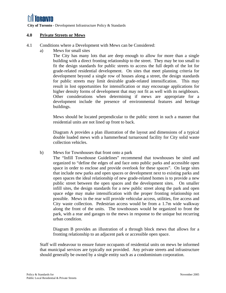#### **4.0 Private Streets or Mews**

- 4.1 Conditions where a Development with Mews can be Considered:
	- a) Mews for small sites

The City has many lots that are deep enough to allow for more than a single building with a direct fronting relationship to the street. They may be too small to fit the design standards for public streets to access the full depth of the lot for grade-related residential development. On sites that meet planning criteria for development beyond a single row of houses along a street, the design standards for public streets may limit desirable grade-related intensification. This may result in lost opportunities for intensification or may encourage applications for higher density forms of development that may not fit as well with its neighbours. Other considerations when determining if mews are appropriate for a development include the presence of environmental features and heritage buildings.

Mews should be located perpendicular to the public street in such a manner that residential units are not lined up front to back.

Diagram A provides a plan illustration of the layout and dimensions of a typical double loaded mews with a hammerhead turnaround facility for City solid waste collection vehicles.

b) Mews for Townhouses that front onto a park

The "Infill Townhouse Guidelines" recommend that townhouses be sited and organized to "define the edges of and face onto public parks and accessible open space in order to enclose and provide overlook for these spaces". On large sites that include new parks and open spaces or development next to existing parks and open spaces the ideal relationship of new grade-related homes is to provide a new public street between the open spaces and the development sites. On smaller infill sites, the design standards for a new public street along the park and open space edge may make intensification with the proper fronting relationship not possible. Mews in the rear will provide vehicular access, utilities, fire access and City waste collection. Pedestrian access would be from a 1.7m wide walkway along the front of the units. The townhouses would be organized to front the park, with a rear and garages to the mews in response to the unique but recurring urban condition.

Diagram B provides an illustration of a through block mews that allows for a fronting relationship to an adjacent park or accessible open space.

Staff will endeavour to ensure future occupants of residential units on mews be informed that municipal services are typically not provided. Any private streets and infrastructure should generally be owned by a single entity such as a condominium corporation.